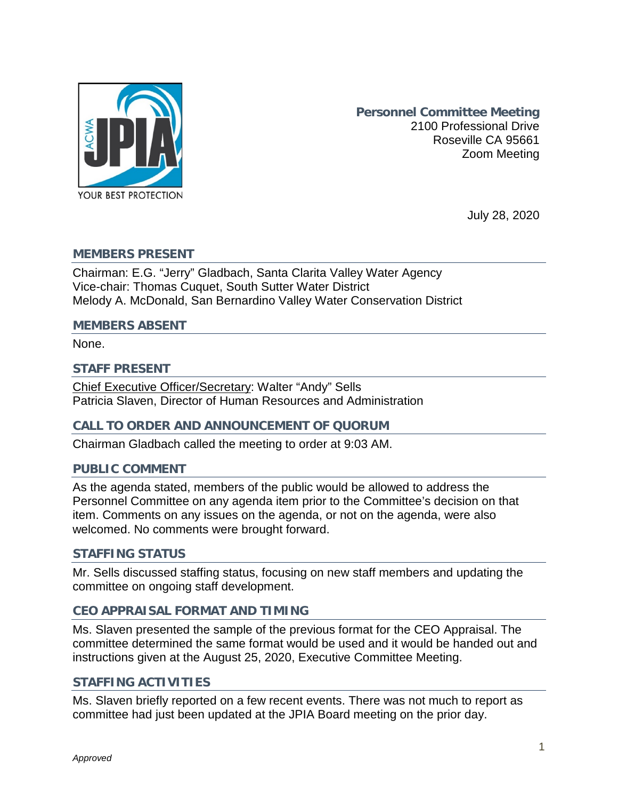

**Personnel Committee Meeting** 2100 Professional Drive Roseville CA 95661 Zoom Meeting

July 28, 2020

## **MEMBERS PRESENT**

Chairman: E.G. "Jerry" Gladbach, Santa Clarita Valley Water Agency Vice-chair: Thomas Cuquet, South Sutter Water District Melody A. McDonald, San Bernardino Valley Water Conservation District

### **MEMBERS ABSENT**

None.

## **STAFF PRESENT**

Chief Executive Officer/Secretary: Walter "Andy" Sells Patricia Slaven, Director of Human Resources and Administration

## **CALL TO ORDER AND ANNOUNCEMENT OF QUORUM**

Chairman Gladbach called the meeting to order at 9:03 AM.

## **PUBLIC COMMENT**

As the agenda stated, members of the public would be allowed to address the Personnel Committee on any agenda item prior to the Committee's decision on that item. Comments on any issues on the agenda, or not on the agenda, were also welcomed. No comments were brought forward.

## **STAFFING STATUS**

Mr. Sells discussed staffing status, focusing on new staff members and updating the committee on ongoing staff development.

## **CEO APPRAISAL FORMAT AND TIMING**

Ms. Slaven presented the sample of the previous format for the CEO Appraisal. The committee determined the same format would be used and it would be handed out and instructions given at the August 25, 2020, Executive Committee Meeting.

## **STAFFING ACTIVITIES**

Ms. Slaven briefly reported on a few recent events. There was not much to report as committee had just been updated at the JPIA Board meeting on the prior day.